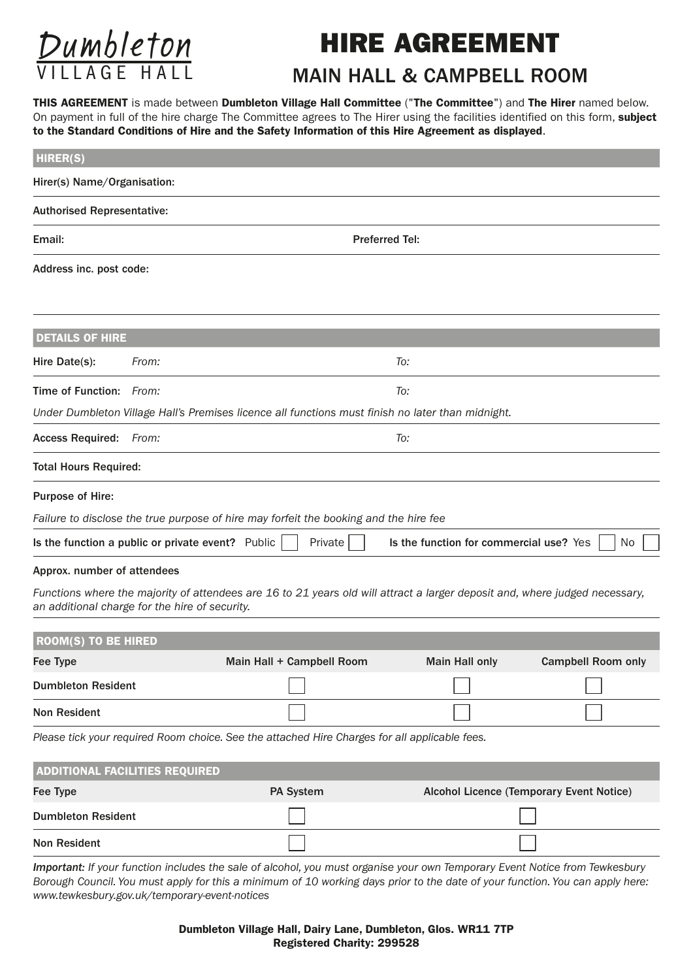

## HIRE AGREEMENT

## MAIN HALL & CAMPBELL ROOM

THIS AGREEMENT is made between Dumbleton Village Hall Committee ("The Committee") and The Hirer named below. On payment in full of the hire charge The Committee agrees to The Hirer using the facilities identified on this form, subject to the Standard Conditions of Hire and the Safety Information of this Hire Agreement as displayed.

| <b>HIRER(S)</b>                                                                                                                                                               |                       |                                                                                                                             |                       |                                          |  |  |  |  |  |  |
|-------------------------------------------------------------------------------------------------------------------------------------------------------------------------------|-----------------------|-----------------------------------------------------------------------------------------------------------------------------|-----------------------|------------------------------------------|--|--|--|--|--|--|
| Hirer(s) Name/Organisation:                                                                                                                                                   |                       |                                                                                                                             |                       |                                          |  |  |  |  |  |  |
| <b>Authorised Representative:</b>                                                                                                                                             |                       |                                                                                                                             |                       |                                          |  |  |  |  |  |  |
| Email:                                                                                                                                                                        | <b>Preferred Tel:</b> |                                                                                                                             |                       |                                          |  |  |  |  |  |  |
| Address inc. post code:                                                                                                                                                       |                       |                                                                                                                             |                       |                                          |  |  |  |  |  |  |
| <b>DETAILS OF HIRE</b>                                                                                                                                                        |                       |                                                                                                                             |                       |                                          |  |  |  |  |  |  |
| Hire Date(s):                                                                                                                                                                 | From:                 |                                                                                                                             | To:                   |                                          |  |  |  |  |  |  |
| Time of Function: From:                                                                                                                                                       |                       | To:                                                                                                                         |                       |                                          |  |  |  |  |  |  |
| Under Dumbleton Village Hall's Premises licence all functions must finish no later than midnight.                                                                             |                       |                                                                                                                             |                       |                                          |  |  |  |  |  |  |
| <b>Access Required:</b>                                                                                                                                                       | To:<br>From:          |                                                                                                                             |                       |                                          |  |  |  |  |  |  |
| <b>Total Hours Required:</b>                                                                                                                                                  |                       |                                                                                                                             |                       |                                          |  |  |  |  |  |  |
| Purpose of Hire:                                                                                                                                                              |                       |                                                                                                                             |                       |                                          |  |  |  |  |  |  |
|                                                                                                                                                                               |                       | Failure to disclose the true purpose of hire may forfeit the booking and the hire fee                                       |                       |                                          |  |  |  |  |  |  |
| Private<br>Is the function a public or private event? Public<br>Is the function for commercial use? Yes<br>No                                                                 |                       |                                                                                                                             |                       |                                          |  |  |  |  |  |  |
| Approx. number of attendees                                                                                                                                                   |                       |                                                                                                                             |                       |                                          |  |  |  |  |  |  |
| Functions where the majority of attendees are 16 to 21 years old will attract a larger deposit and, where judged necessary,<br>an additional charge for the hire of security. |                       |                                                                                                                             |                       |                                          |  |  |  |  |  |  |
| <b>ROOM(S) TO BE HIRED</b>                                                                                                                                                    |                       |                                                                                                                             |                       |                                          |  |  |  |  |  |  |
| Fee Type                                                                                                                                                                      |                       | Main Hall + Campbell Room                                                                                                   | <b>Main Hall only</b> | <b>Campbell Room only</b>                |  |  |  |  |  |  |
| <b>Dumbleton Resident</b>                                                                                                                                                     |                       |                                                                                                                             |                       |                                          |  |  |  |  |  |  |
| <b>Non Resident</b>                                                                                                                                                           |                       |                                                                                                                             |                       |                                          |  |  |  |  |  |  |
|                                                                                                                                                                               |                       | Please tick your required Room choice. See the attached Hire Charges for all applicable fees.                               |                       |                                          |  |  |  |  |  |  |
| <b>ADDITIONAL FACILITIES REQUIRED</b>                                                                                                                                         |                       |                                                                                                                             |                       |                                          |  |  |  |  |  |  |
| Fee Type                                                                                                                                                                      |                       | PA System                                                                                                                   |                       | Alcohol Licence (Temporary Event Notice) |  |  |  |  |  |  |
| <b>Dumbleton Resident</b>                                                                                                                                                     |                       |                                                                                                                             |                       |                                          |  |  |  |  |  |  |
| <b>Non Resident</b>                                                                                                                                                           |                       |                                                                                                                             |                       |                                          |  |  |  |  |  |  |
|                                                                                                                                                                               |                       | Important: If your function includes the sale of alcohol, you must organise your own Temporary Event Notice from Tewkeshury |                       |                                          |  |  |  |  |  |  |

*Important: If your function includes the sale of alcohol, you must organise your own Temporary Event Notice from Tewkesbury Borough Council. You must apply for this a minimum of 10 working days prior to the date of your function. You can apply here: www.tewkesbury.gov.uk/temporary-event-notices*

> Dumbleton Village Hall, Dairy Lane, Dumbleton, Glos. WR11 7TP Registered Charity: 299528